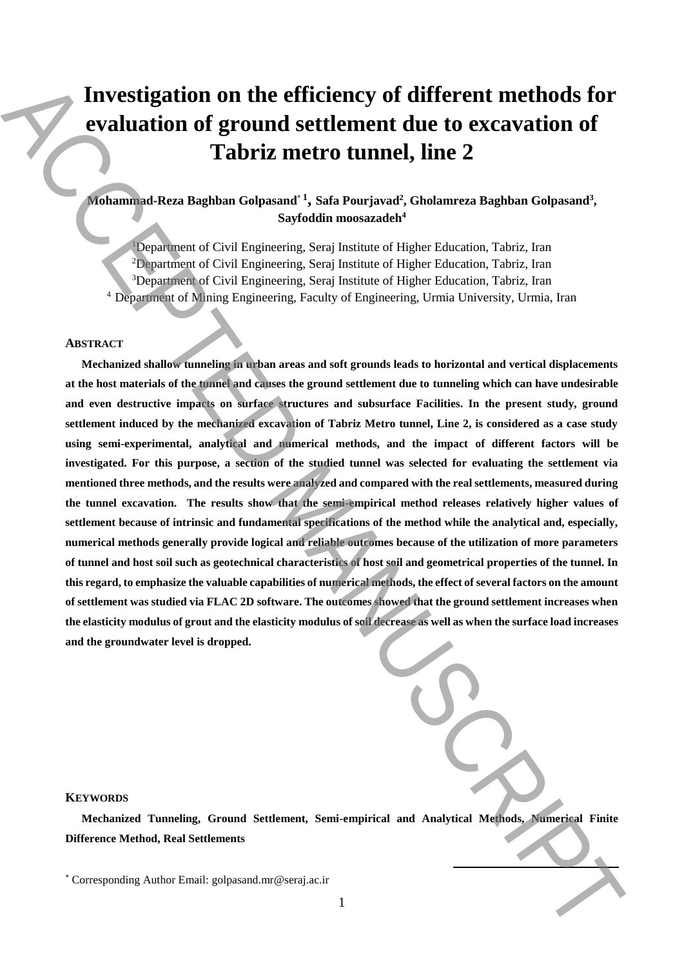# **Investigation on the efficiency of different methods for evaluation of ground settlement due to excavation of Tabriz metro tunnel, line 2**

# **Mohammad-Reza Baghban Golpasand**\* **<sup>1</sup> , Safa Pourjavad<sup>2</sup> , Gholamreza Baghban Golpasand<sup>3</sup> , Sayfoddin moosazadeh<sup>4</sup>**

Department of Civil Engineering, Seraj Institute of Higher Education, Tabriz, Iran Department of Civil Engineering, Seraj Institute of Higher Education, Tabriz, Iran <sup>3</sup>Department of Civil Engineering, Seraj Institute of Higher Education, Tabriz, Iran Department of Mining Engineering, Faculty of Engineering, Urmia University, Urmia, Iran

### **ABSTRACT**

**Mechanized shallow tunneling in urban areas and soft grounds leads to horizontal and vertical displacements at the host materials of the tunnel and causes the ground settlement due to tunneling which can have undesirable and even destructive impacts on surface structures and subsurface Facilities. In the present study, ground settlement induced by the mechanized excavation of Tabriz Metro tunnel, Line 2, is considered as a case study using semi-experimental, analytical and numerical methods, and the impact of different factors will be investigated. For this purpose, a section of the studied tunnel was selected for evaluating the settlement via mentioned three methods, and the results were analyzed and compared with the real settlements, measured during**  the tunnel excavation. The results show that the semi-empirical method releases relatively higher values of **settlement because of intrinsic and fundamental specifications of the method while the analytical and, especially, numerical methods generally provide logical and reliable outcomes because of the utilization of more parameters of tunnel and host soil such as geotechnical characteristics of host soil and geometrical properties of the tunnel. In this regard, to emphasize the valuable capabilities of numerical methods, the effect of several factors on the amount of settlement was studied via FLAC 2D software. The outcomes showed that the ground settlement increases when the elasticity modulus of grout and the elasticity modulus of soil decrease as well as when the surface load increases and the groundwater level is dropped. Example 2** Investigation on the efficiency of different methods for<br>**Corresponding Author Email:** and the example of exact at the exact and<br>the example of example  $\alpha$  ( $\alpha$ ) and  $\alpha$ ) and  $\alpha$ ) and  $\alpha$ <br>is syntal measur

# **KEYWORDS**

**Mechanized Tunneling, Ground Settlement, Semi-empirical and Analytical Methods, Numerical Finite Difference Method, Real Settlements**

 $\overline{\phantom{a}}$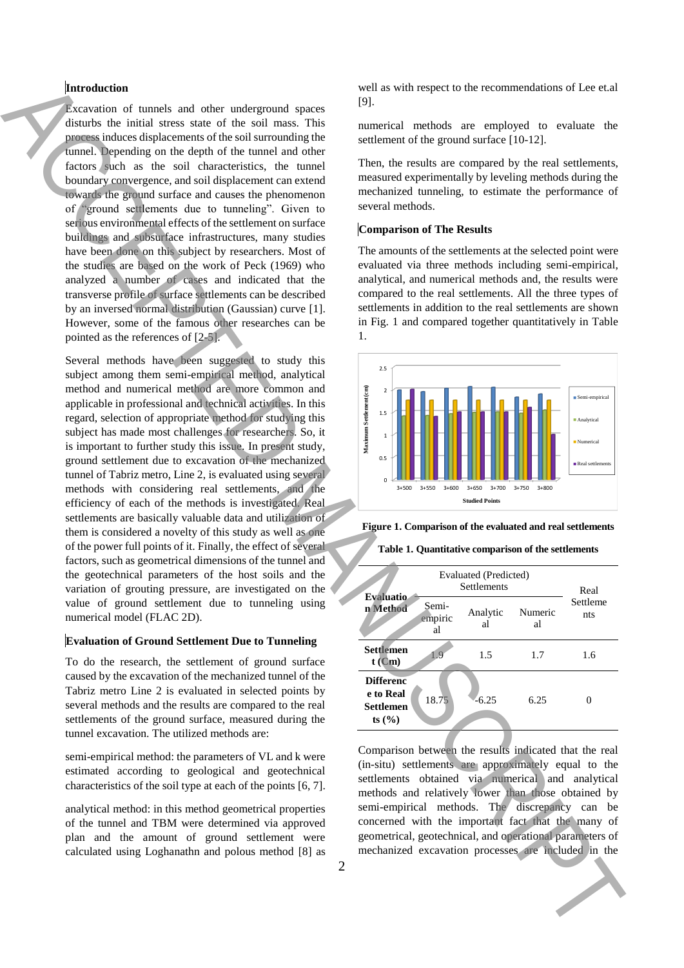# **Introduction**

Excavation of tunnels and other underground spaces disturbs the initial stress state of the soil mass. This process induces displacements of the soil surrounding the tunnel. Depending on the depth of the tunnel and other factors such as the soil characteristics, the tunnel boundary convergence, and soil displacement can extend towards the ground surface and causes the phenomenon of "ground settlements due to tunneling". Given to serious environmental effects of the settlement on surface buildings and subsurface infrastructures, many studies have been done on this subject by researchers. Most of the studies are based on the work of Peck (1969) who analyzed a number of cases and indicated that the transverse profile of surface settlements can be described by an inversed normal distribution (Gaussian) curve [1]. However, some of the famous other researches can be pointed as the references of [2-5].

Several methods have been suggested to study this subject among them semi-empirical method, analytical method and numerical method are more common and applicable in professional and technical activities. In this regard, selection of appropriate method for studying this subject has made most challenges for researchers. So, it is important to further study this issue. In present study, ground settlement due to excavation of the mechanized tunnel of Tabriz metro, Line 2, is evaluated using several methods with considering real settlements, and the efficiency of each of the methods is investigated. Real settlements are basically valuable data and utilization of them is considered a novelty of this study as well as one of the power full points of it. Finally, the effect of several factors, such as geometrical dimensions of the tunnel and the geotechnical parameters of the host soils and the variation of grouting pressure, are investigated on the value of ground settlement due to tunneling using numerical model (FLAC 2D). Interaction of the state interaction of the state interaction of the state interaction of the state interaction of the state interaction of the state interaction of the state interaction of the state interaction of the st

# **Evaluation of Ground Settlement Due to Tunneling**

To do the research, the settlement of ground surface caused by the excavation of the mechanized tunnel of the Tabriz metro Line 2 is evaluated in selected points by several methods and the results are compared to the real settlements of the ground surface, measured during the tunnel excavation. The utilized methods are:

semi-empirical method: the parameters of VL and k were estimated according to geological and geotechnical characteristics of the soil type at each of the points [6, 7].

analytical method: in this method geometrical properties of the tunnel and TBM were determined via approved plan and the amount of ground settlement were calculated using Loghanathn and polous method [8] as

well as with respect to the recommendations of Lee et.al [9].

numerical methods are employed to evaluate the settlement of the ground surface [10-12].

Then, the results are compared by the real settlements, measured experimentally by leveling methods during the mechanized tunneling, to estimate the performance of several methods.

### **Comparison of The Results**

The amounts of the settlements at the selected point were evaluated via three methods including semi-empirical, analytical, and numerical methods and, the results were compared to the real settlements. All the three types of settlements in addition to the real settlements are shown in Fig. 1 and compared together quantitatively in Table 1.



**Figure 1. Comparison of the evaluated and real settlements**

**Table 1. Quantitative comparison of the settlements**

| <b>Evaluatio</b>                                               | Evaluated (Predicted)<br><b>Settlements</b> |                |               | Real            |
|----------------------------------------------------------------|---------------------------------------------|----------------|---------------|-----------------|
| n Method                                                       | Semi-<br>empiric<br>al                      | Analytic<br>al | Numeric<br>al | Settleme<br>nts |
| <b>Settlemen</b><br>$t$ (Cm)                                   | 1.9                                         | 1.5            | 1.7           | 1.6             |
| <b>Differenc</b><br>e to Real<br><b>Settlemen</b><br>ts $(\%)$ | 18.75                                       | $-6.25$        | 6.25          |                 |
|                                                                |                                             |                |               |                 |

Comparison between the results indicated that the real (in-situ) settlements are approximately equal to the settlements obtained via numerical and analytical methods and relatively lower than those obtained by semi-empirical methods. The discrepancy can be concerned with the important fact that the many of geometrical, geotechnical, and operational parameters of mechanized excavation processes are included in the